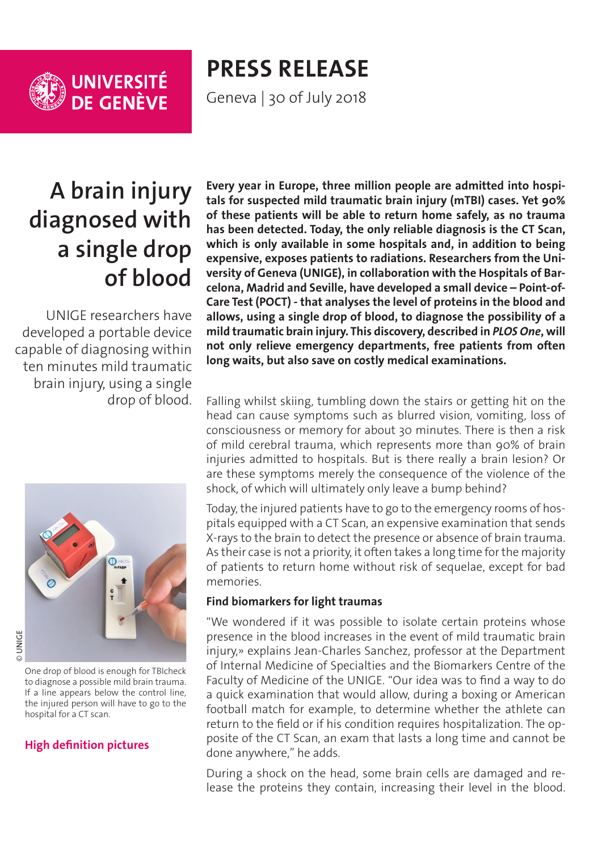

# **PRESS RELEASE**

Geneva | 30 of July 2018

# **A brain injury diagnosed with a single drop of blood**

UNIGE researchers have developed a portable device capable of diagnosing within ten minutes mild traumatic brain injury, using a single drop of blood.



One drop of blood is enough for TBIcheck to diagnose a possible mild brain trauma. If a line appears below the control line, the injured person will have to go to the hospital for a CT scan.

# **[High definition pictures](https://phototheque.unige.ch/documents/facets?newFacet=mot.cle.marc%3DCdP_180730_Sanchez&clearFacets=1)**

**Every year in Europe, three million people are admitted into hospitals for suspected mild traumatic brain injury (mTBI) cases. Yet 90% of these patients will be able to return home safely, as no trauma has been detected. Today, the only reliable diagnosis is the CT Scan, which is only available in some hospitals and, in addition to being expensive, exposes patients to radiations. Researchers from the University of Geneva (UNIGE), in collaboration with the Hospitals of Barcelona, Madrid and Seville, have developed a small device – Point-of-Care Test (POCT) - that analyses the level of proteins in the blood and allows, using a single drop of blood, to diagnose the possibility of a mild traumatic brain injury. This discovery, described in** *PLOS One***, will not only relieve emergency departments, free patients from often long waits, but also save on costly medical examinations.**

Falling whilst skiing, tumbling down the stairs or getting hit on the head can cause symptoms such as blurred vision, vomiting, loss of consciousness or memory for about 30 minutes. There is then a risk of mild cerebral trauma, which represents more than 90% of brain injuries admitted to hospitals. But is there really a brain lesion? Or are these symptoms merely the consequence of the violence of the shock, of which will ultimately only leave a bump behind?

Today, the injured patients have to go to the emergency rooms of hospitals equipped with a CT Scan, an expensive examination that sends X-rays to the brain to detect the presence or absence of brain trauma. As their case is not a priority, it often takes a long time for the majority of patients to return home without risk of sequelae, except for bad memories.

# **Find biomarkers for light traumas**

"We wondered if it was possible to isolate certain proteins whose presence in the blood increases in the event of mild traumatic brain injury,» explains Jean-Charles Sanchez, professor at the Department of Internal Medicine of Specialties and the Biomarkers Centre of the Faculty of Medicine of the UNIGE. "Our idea was to find a way to do a quick examination that would allow, during a boxing or American football match for example, to determine whether the athlete can return to the field or if his condition requires hospitalization. The opposite of the CT Scan, an exam that lasts a long time and cannot be done anywhere," he adds.

During a shock on the head, some brain cells are damaged and release the proteins they contain, increasing their level in the blood.